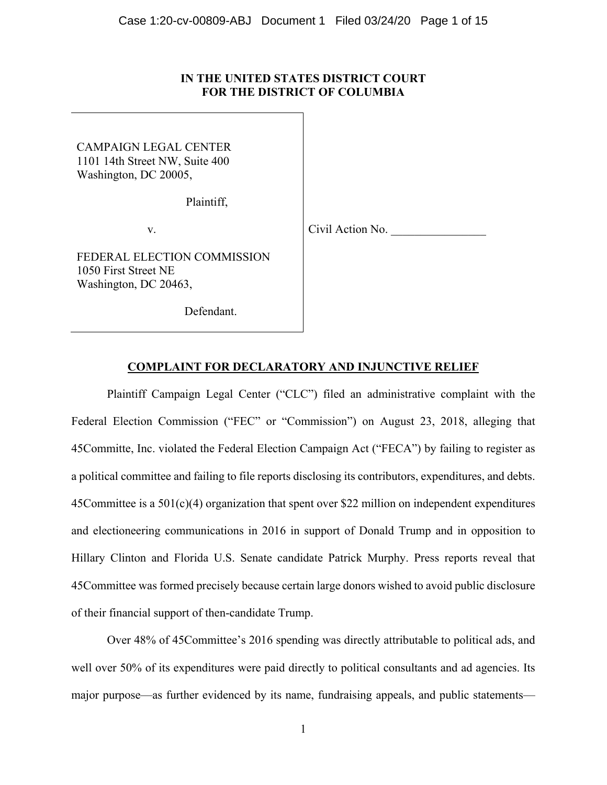# **IN THE UNITED STATES DISTRICT COURT FOR THE DISTRICT OF COLUMBIA**

CAMPAIGN LEGAL CENTER 1101 14th Street NW, Suite 400 Washington, DC 20005,

Plaintiff,

v.

Civil Action No.

FEDERAL ELECTION COMMISSION 1050 First Street NE Washington, DC 20463,

Defendant.

# **COMPLAINT FOR DECLARATORY AND INJUNCTIVE RELIEF**

 Plaintiff Campaign Legal Center ("CLC") filed an administrative complaint with the Federal Election Commission ("FEC" or "Commission") on August 23, 2018, alleging that 45Committe, Inc. violated the Federal Election Campaign Act ("FECA") by failing to register as a political committee and failing to file reports disclosing its contributors, expenditures, and debts. 45Committee is a 501(c)(4) organization that spent over \$22 million on independent expenditures and electioneering communications in 2016 in support of Donald Trump and in opposition to Hillary Clinton and Florida U.S. Senate candidate Patrick Murphy. Press reports reveal that 45Committee was formed precisely because certain large donors wished to avoid public disclosure of their financial support of then-candidate Trump.

Over 48% of 45Committee's 2016 spending was directly attributable to political ads, and well over 50% of its expenditures were paid directly to political consultants and ad agencies. Its major purpose—as further evidenced by its name, fundraising appeals, and public statements—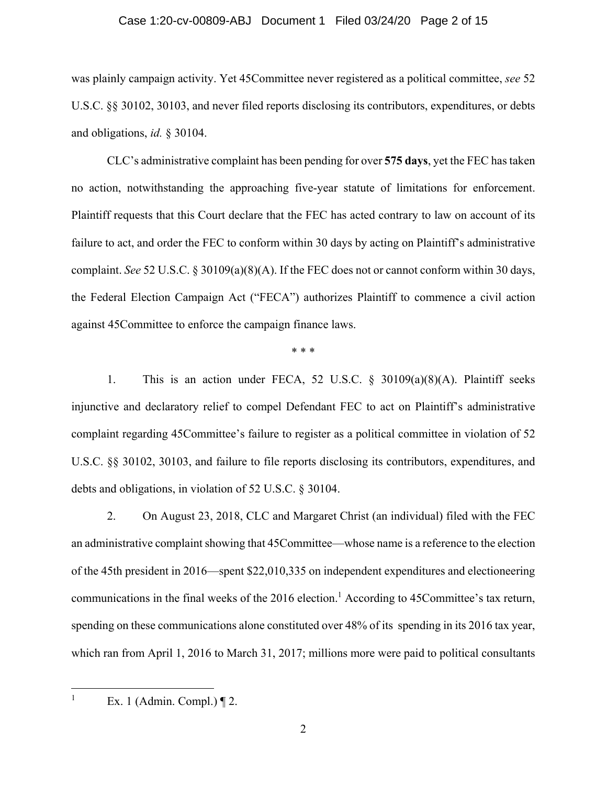#### Case 1:20-cv-00809-ABJ Document 1 Filed 03/24/20 Page 2 of 15

was plainly campaign activity. Yet 45Committee never registered as a political committee, *see* 52 U.S.C. §§ 30102, 30103, and never filed reports disclosing its contributors, expenditures, or debts and obligations, *id.* § 30104.

CLC's administrative complaint has been pending for over **575 days**, yet the FEC has taken no action, notwithstanding the approaching five-year statute of limitations for enforcement. Plaintiff requests that this Court declare that the FEC has acted contrary to law on account of its failure to act, and order the FEC to conform within 30 days by acting on Plaintiff's administrative complaint. *See* 52 U.S.C. § 30109(a)(8)(A). If the FEC does not or cannot conform within 30 days, the Federal Election Campaign Act ("FECA") authorizes Plaintiff to commence a civil action against 45Committee to enforce the campaign finance laws.

\* \* \*

1. This is an action under FECA, 52 U.S.C. § 30109(a)(8)(A). Plaintiff seeks injunctive and declaratory relief to compel Defendant FEC to act on Plaintiff's administrative complaint regarding 45Committee's failure to register as a political committee in violation of 52 U.S.C. §§ 30102, 30103, and failure to file reports disclosing its contributors, expenditures, and debts and obligations, in violation of 52 U.S.C. § 30104.

2. On August 23, 2018, CLC and Margaret Christ (an individual) filed with the FEC an administrative complaint showing that 45Committee—whose name is a reference to the election of the 45th president in 2016—spent \$22,010,335 on independent expenditures and electioneering communications in the final weeks of the 2016 election.<sup>1</sup> According to 45 Committee's tax return, spending on these communications alone constituted over 48% of its spending in its 2016 tax year, which ran from April 1, 2016 to March 31, 2017; millions more were paid to political consultants

<u>.</u> 1

Ex. 1 (Admin. Compl.) ¶ 2.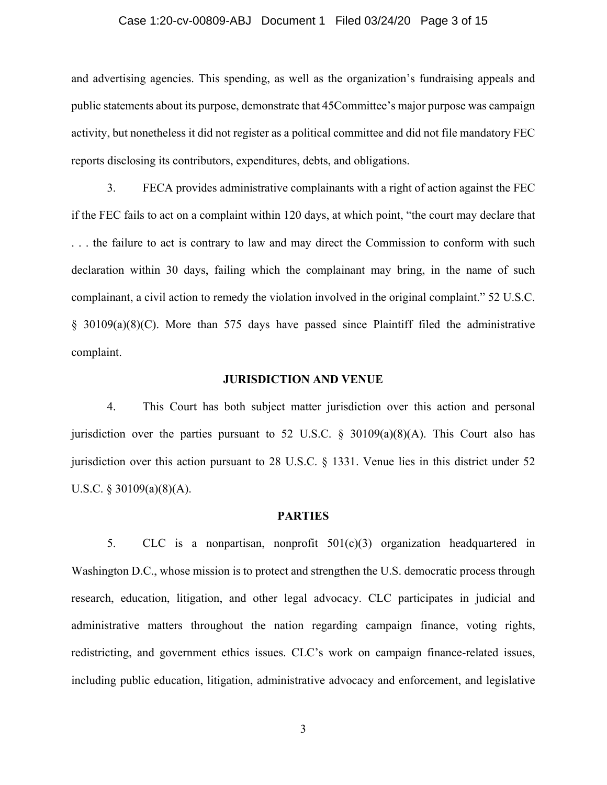#### Case 1:20-cv-00809-ABJ Document 1 Filed 03/24/20 Page 3 of 15

and advertising agencies. This spending, as well as the organization's fundraising appeals and public statements about its purpose, demonstrate that 45Committee's major purpose was campaign activity, but nonetheless it did not register as a political committee and did not file mandatory FEC reports disclosing its contributors, expenditures, debts, and obligations.

3. FECA provides administrative complainants with a right of action against the FEC if the FEC fails to act on a complaint within 120 days, at which point, "the court may declare that . . . the failure to act is contrary to law and may direct the Commission to conform with such declaration within 30 days, failing which the complainant may bring, in the name of such complainant, a civil action to remedy the violation involved in the original complaint." 52 U.S.C. § 30109(a)(8)(C). More than 575 days have passed since Plaintiff filed the administrative complaint.

#### **JURISDICTION AND VENUE**

4. This Court has both subject matter jurisdiction over this action and personal jurisdiction over the parties pursuant to 52 U.S.C.  $\S$  30109(a)(8)(A). This Court also has jurisdiction over this action pursuant to 28 U.S.C. § 1331. Venue lies in this district under 52 U.S.C. § 30109(a)(8)(A).

#### **PARTIES**

5. CLC is a nonpartisan, nonprofit 501(c)(3) organization headquartered in Washington D.C., whose mission is to protect and strengthen the U.S. democratic process through research, education, litigation, and other legal advocacy. CLC participates in judicial and administrative matters throughout the nation regarding campaign finance, voting rights, redistricting, and government ethics issues. CLC's work on campaign finance-related issues, including public education, litigation, administrative advocacy and enforcement, and legislative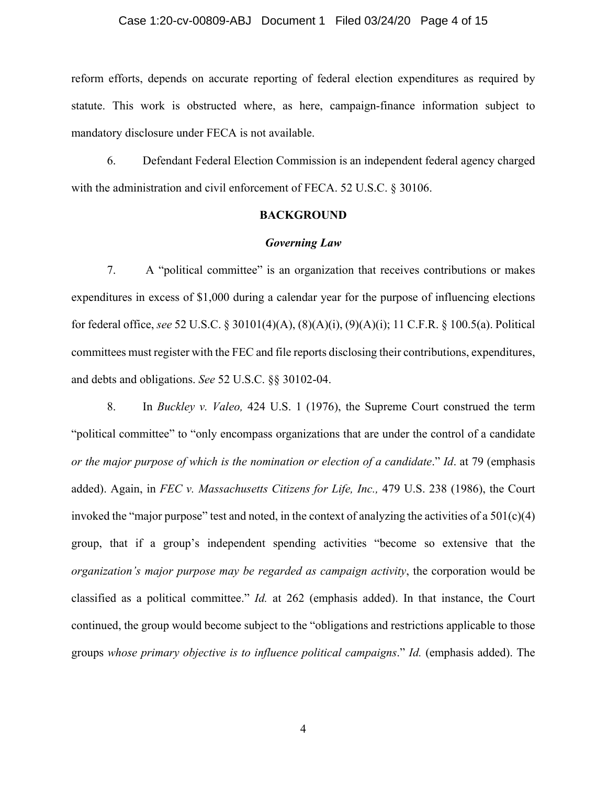# Case 1:20-cv-00809-ABJ Document 1 Filed 03/24/20 Page 4 of 15

reform efforts, depends on accurate reporting of federal election expenditures as required by statute. This work is obstructed where, as here, campaign-finance information subject to mandatory disclosure under FECA is not available.

6. Defendant Federal Election Commission is an independent federal agency charged with the administration and civil enforcement of FECA. 52 U.S.C. § 30106.

# **BACKGROUND**

#### *Governing Law*

7. A "political committee" is an organization that receives contributions or makes expenditures in excess of \$1,000 during a calendar year for the purpose of influencing elections for federal office, *see* 52 U.S.C. § 30101(4)(A), (8)(A)(i), (9)(A)(i); 11 C.F.R. § 100.5(a). Political committees must register with the FEC and file reports disclosing their contributions, expenditures, and debts and obligations. *See* 52 U.S.C. §§ 30102-04.

8. In *Buckley v. Valeo,* 424 U.S. 1 (1976), the Supreme Court construed the term "political committee" to "only encompass organizations that are under the control of a candidate *or the major purpose of which is the nomination or election of a candidate*." *Id*. at 79 (emphasis added). Again, in *FEC v. Massachusetts Citizens for Life, Inc.,* 479 U.S. 238 (1986), the Court invoked the "major purpose" test and noted, in the context of analyzing the activities of a  $501(c)(4)$ group, that if a group's independent spending activities "become so extensive that the *organization's major purpose may be regarded as campaign activity*, the corporation would be classified as a political committee." *Id.* at 262 (emphasis added). In that instance, the Court continued, the group would become subject to the "obligations and restrictions applicable to those groups *whose primary objective is to influence political campaigns*." *Id.* (emphasis added). The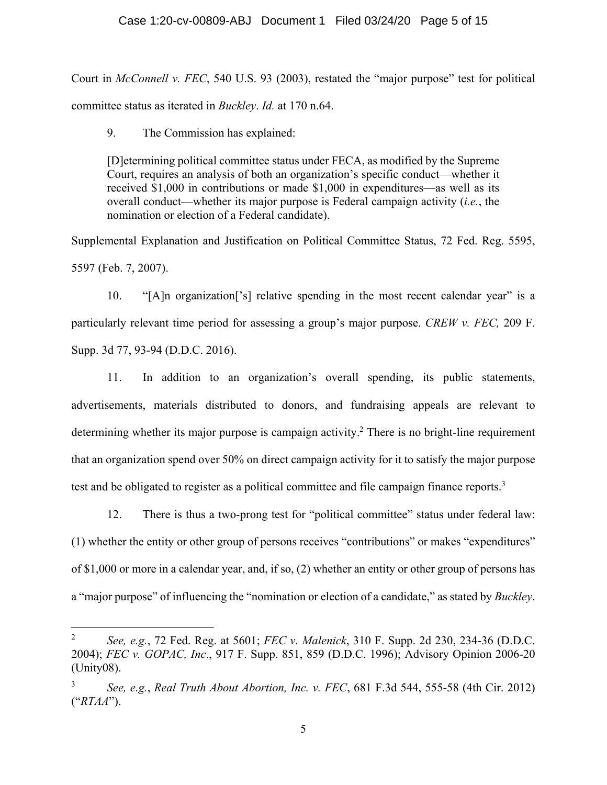# Case 1:20-cv-00809-ABJ Document 1 Filed 03/24/20 Page 5 of 15

Court in *McConnell v. FEC*, 540 U.S. 93 (2003), restated the "major purpose" test for political committee status as iterated in *Buckley*. *Id.* at 170 n.64.

9. The Commission has explained:

<u>.</u>

[D]etermining political committee status under FECA, as modified by the Supreme Court, requires an analysis of both an organization's specific conduct—whether it received \$1,000 in contributions or made \$1,000 in expenditures—as well as its overall conduct—whether its major purpose is Federal campaign activity (*i.e.*, the nomination or election of a Federal candidate).

Supplemental Explanation and Justification on Political Committee Status, 72 Fed. Reg. 5595, 5597 (Feb. 7, 2007).

10. "[A]n organization['s] relative spending in the most recent calendar year" is a particularly relevant time period for assessing a group's major purpose. *CREW v. FEC,* 209 F. Supp. 3d 77, 93-94 (D.D.C. 2016).

11. In addition to an organization's overall spending, its public statements, advertisements, materials distributed to donors, and fundraising appeals are relevant to determining whether its major purpose is campaign activity.<sup>2</sup> There is no bright-line requirement that an organization spend over 50% on direct campaign activity for it to satisfy the major purpose test and be obligated to register as a political committee and file campaign finance reports.<sup>3</sup>

12. There is thus a two-prong test for "political committee" status under federal law: (1) whether the entity or other group of persons receives "contributions" or makes "expenditures" of \$1,000 or more in a calendar year, and, if so, (2) whether an entity or other group of persons has a "major purpose" of influencing the "nomination or election of a candidate," as stated by *Buckley*.

<sup>2</sup> *See, e.g.*, 72 Fed. Reg. at 5601; *FEC v. Malenick*, 310 F. Supp. 2d 230, 234-36 (D.D.C. 2004); *FEC v. GOPAC, Inc*., 917 F. Supp. 851, 859 (D.D.C. 1996); Advisory Opinion 2006-20 (Unity08).

<sup>3</sup> *See, e.g.*, *Real Truth About Abortion, Inc. v. FEC*, 681 F.3d 544, 555-58 (4th Cir. 2012) ("*RTAA*").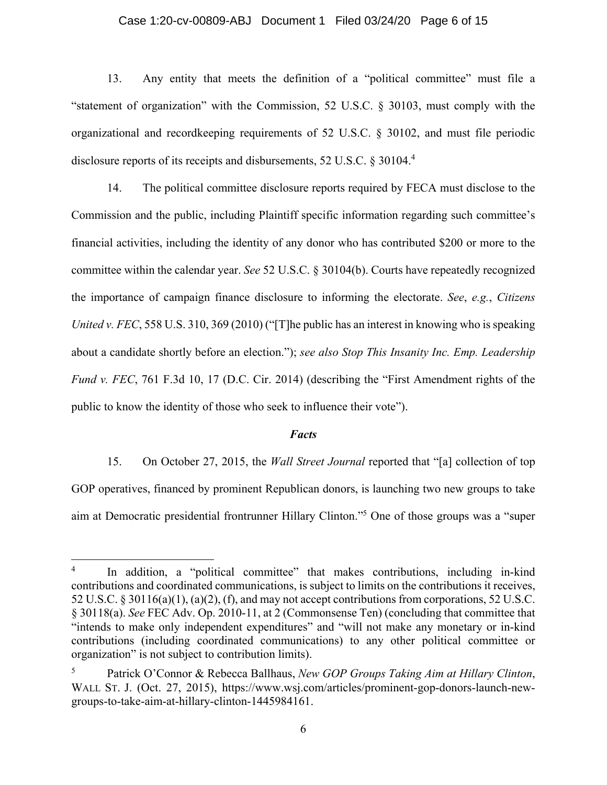#### Case 1:20-cv-00809-ABJ Document 1 Filed 03/24/20 Page 6 of 15

13. Any entity that meets the definition of a "political committee" must file a "statement of organization" with the Commission, 52 U.S.C. § 30103, must comply with the organizational and recordkeeping requirements of 52 U.S.C. § 30102, and must file periodic disclosure reports of its receipts and disbursements, 52 U.S.C. § 30104.4

14. The political committee disclosure reports required by FECA must disclose to the Commission and the public, including Plaintiff specific information regarding such committee's financial activities, including the identity of any donor who has contributed \$200 or more to the committee within the calendar year. *See* 52 U.S.C. § 30104(b). Courts have repeatedly recognized the importance of campaign finance disclosure to informing the electorate. *See*, *e.g.*, *Citizens United v. FEC*, 558 U.S. 310, 369 (2010) ("[T]he public has an interest in knowing who is speaking about a candidate shortly before an election."); *see also Stop This Insanity Inc. Emp. Leadership Fund v. FEC*, 761 F.3d 10, 17 (D.C. Cir. 2014) (describing the "First Amendment rights of the public to know the identity of those who seek to influence their vote").

#### *Facts*

15. On October 27, 2015, the *Wall Street Journal* reported that "[a] collection of top GOP operatives, financed by prominent Republican donors, is launching two new groups to take aim at Democratic presidential frontrunner Hillary Clinton."5 One of those groups was a "super

<sup>4</sup> In addition, a "political committee" that makes contributions, including in-kind contributions and coordinated communications, is subject to limits on the contributions it receives, 52 U.S.C. § 30116(a)(1), (a)(2), (f), and may not accept contributions from corporations, 52 U.S.C. § 30118(a). *See* FEC Adv. Op. 2010-11, at 2 (Commonsense Ten) (concluding that committee that "intends to make only independent expenditures" and "will not make any monetary or in-kind contributions (including coordinated communications) to any other political committee or organization" is not subject to contribution limits).

<sup>5</sup> Patrick O'Connor & Rebecca Ballhaus, *New GOP Groups Taking Aim at Hillary Clinton*, WALL ST. J. (Oct. 27, 2015), https://www.wsj.com/articles/prominent-gop-donors-launch-newgroups-to-take-aim-at-hillary-clinton-1445984161.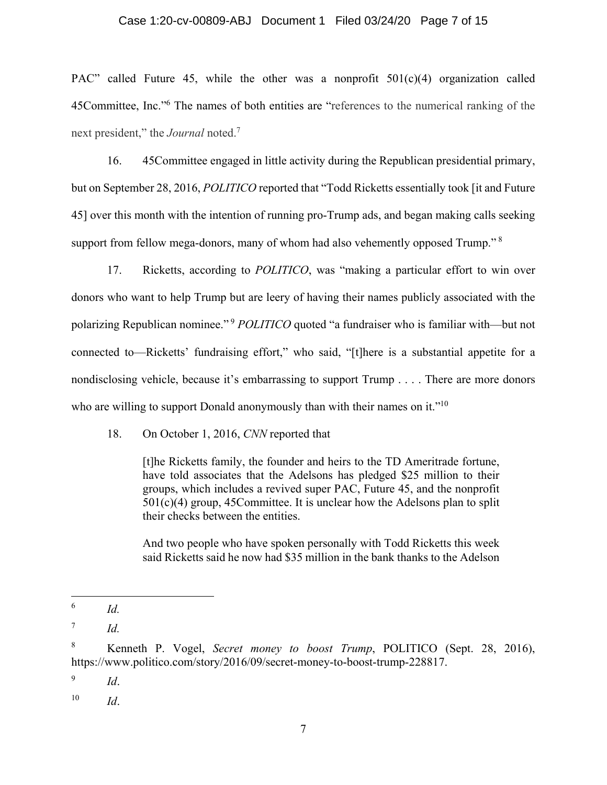#### Case 1:20-cv-00809-ABJ Document 1 Filed 03/24/20 Page 7 of 15

PAC" called Future 45, while the other was a nonprofit  $501(c)(4)$  organization called 45Committee, Inc."<sup>6</sup> The names of both entities are "references to the numerical ranking of the next president," the *Journal* noted.7

16. 45Committee engaged in little activity during the Republican presidential primary, but on September 28, 2016, *POLITICO* reported that "Todd Ricketts essentially took [it and Future 45] over this month with the intention of running pro-Trump ads, and began making calls seeking support from fellow mega-donors, many of whom had also vehemently opposed Trump."<sup>8</sup>

17. Ricketts, according to *POLITICO*, was "making a particular effort to win over donors who want to help Trump but are leery of having their names publicly associated with the polarizing Republican nominee."<sup>9</sup> *POLITICO* quoted "a fundraiser who is familiar with—but not connected to—Ricketts' fundraising effort," who said, "[t]here is a substantial appetite for a nondisclosing vehicle, because it's embarrassing to support Trump . . . . There are more donors who are willing to support Donald anonymously than with their names on it."<sup>10</sup>

18. On October 1, 2016, *CNN* reported that

[t]he Ricketts family, the founder and heirs to the TD Ameritrade fortune, have told associates that the Adelsons has pledged \$25 million to their groups, which includes a revived super PAC, Future 45, and the nonprofit  $501(c)(4)$  group, 45Committee. It is unclear how the Adelsons plan to split their checks between the entities.

And two people who have spoken personally with Todd Ricketts this week said Ricketts said he now had \$35 million in the bank thanks to the Adelson

<sup>6</sup> *Id.*

<sup>7</sup> *Id.* 

<sup>8</sup> Kenneth P. Vogel, *Secret money to boost Trump*, POLITICO (Sept. 28, 2016), https://www.politico.com/story/2016/09/secret-money-to-boost-trump-228817.

<sup>9</sup> *Id*.

<sup>10</sup> *Id*.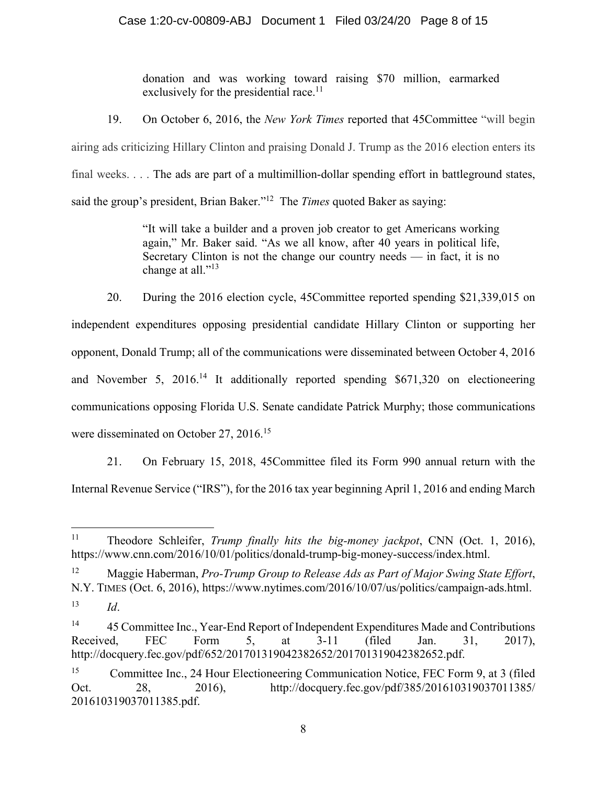donation and was working toward raising \$70 million, earmarked exclusively for the presidential race.<sup>11</sup>

19. On October 6, 2016, the *New York Times* reported that 45Committee "will begin airing ads criticizing Hillary Clinton and praising Donald J. Trump as the 2016 election enters its final weeks. . . . The ads are part of a multimillion-dollar spending effort in battleground states, said the group's president, Brian Baker."12 The *Times* quoted Baker as saying:

> "It will take a builder and a proven job creator to get Americans working again," Mr. Baker said. "As we all know, after 40 years in political life, Secretary Clinton is not the change our country needs — in fact, it is no change at all."<sup>13</sup>

20. During the 2016 election cycle, 45Committee reported spending \$21,339,015 on independent expenditures opposing presidential candidate Hillary Clinton or supporting her opponent, Donald Trump; all of the communications were disseminated between October 4, 2016 and November 5, 2016.<sup>14</sup> It additionally reported spending \$671,320 on electioneering communications opposing Florida U.S. Senate candidate Patrick Murphy; those communications were disseminated on October 27, 2016.<sup>15</sup>

21. On February 15, 2018, 45Committee filed its Form 990 annual return with the Internal Revenue Service ("IRS"), for the 2016 tax year beginning April 1, 2016 and ending March

 $11$ 11 Theodore Schleifer, *Trump finally hits the big-money jackpot*, CNN (Oct. 1, 2016), https://www.cnn.com/2016/10/01/politics/donald-trump-big-money-success/index.html.

<sup>12</sup> Maggie Haberman, *Pro-Trump Group to Release Ads as Part of Major Swing State Effort*, N.Y. TIMES (Oct. 6, 2016), https://www.nytimes.com/2016/10/07/us/politics/campaign-ads.html.

<sup>13</sup> *Id*.

<sup>&</sup>lt;sup>14</sup> 45 Committee Inc., Year-End Report of Independent Expenditures Made and Contributions Received, FEC Form 5, at 3-11 (filed Jan. 31, 2017), http://docquery.fec.gov/pdf/652/201701319042382652/201701319042382652.pdf.

<sup>&</sup>lt;sup>15</sup> Committee Inc., 24 Hour Electioneering Communication Notice, FEC Form 9, at 3 (filed Oct. 28, 2016), http://docquery.fec.gov/pdf/385/201610319037011385/ 201610319037011385.pdf.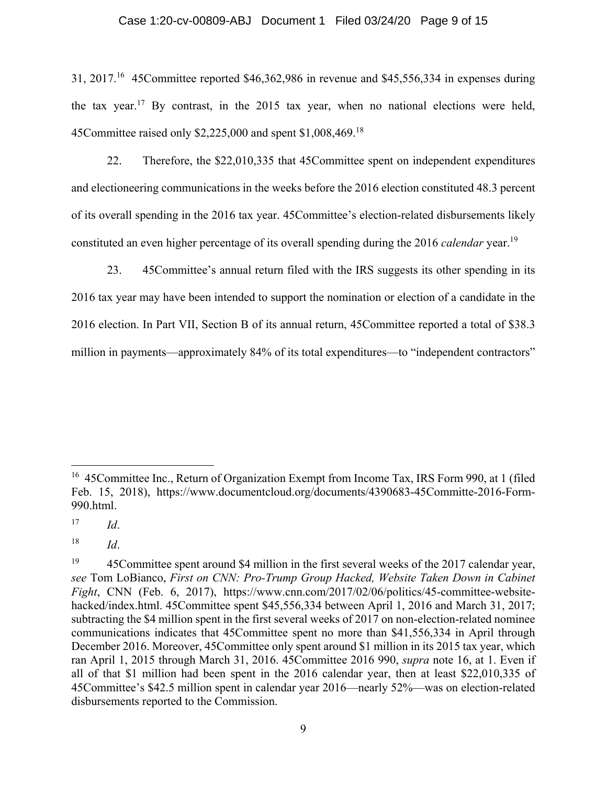#### Case 1:20-cv-00809-ABJ Document 1 Filed 03/24/20 Page 9 of 15

31, 2017.16 45Committee reported \$46,362,986 in revenue and \$45,556,334 in expenses during the tax year.<sup>17</sup> By contrast, in the 2015 tax year, when no national elections were held, 45Committee raised only \$2,225,000 and spent \$1,008,469.18

22. Therefore, the \$22,010,335 that 45Committee spent on independent expenditures and electioneering communications in the weeks before the 2016 election constituted 48.3 percent of its overall spending in the 2016 tax year. 45Committee's election-related disbursements likely constituted an even higher percentage of its overall spending during the 2016 *calendar* year.19

23. 45Committee's annual return filed with the IRS suggests its other spending in its 2016 tax year may have been intended to support the nomination or election of a candidate in the 2016 election. In Part VII, Section B of its annual return, 45Committee reported a total of \$38.3 million in payments—approximately 84% of its total expenditures—to "independent contractors"

<u>.</u>

<sup>&</sup>lt;sup>16</sup> 45 Committee Inc., Return of Organization Exempt from Income Tax, IRS Form 990, at 1 (filed Feb. 15, 2018), https://www.documentcloud.org/documents/4390683-45Committe-2016-Form-990.html.

<sup>17</sup> *Id*.

<sup>18</sup> *Id*.

<sup>&</sup>lt;sup>19</sup> 45 Committee spent around \$4 million in the first several weeks of the 2017 calendar year, *see* Tom LoBianco, *First on CNN: Pro-Trump Group Hacked, Website Taken Down in Cabinet Fight*, CNN (Feb. 6, 2017), https://www.cnn.com/2017/02/06/politics/45-committee-websitehacked/index.html. 45Committee spent \$45,556,334 between April 1, 2016 and March 31, 2017; subtracting the \$4 million spent in the first several weeks of 2017 on non-election-related nominee communications indicates that 45Committee spent no more than \$41,556,334 in April through December 2016. Moreover, 45Committee only spent around \$1 million in its 2015 tax year, which ran April 1, 2015 through March 31, 2016. 45Committee 2016 990, *supra* note 16, at 1. Even if all of that \$1 million had been spent in the 2016 calendar year, then at least \$22,010,335 of 45Committee's \$42.5 million spent in calendar year 2016—nearly 52%—was on election-related disbursements reported to the Commission.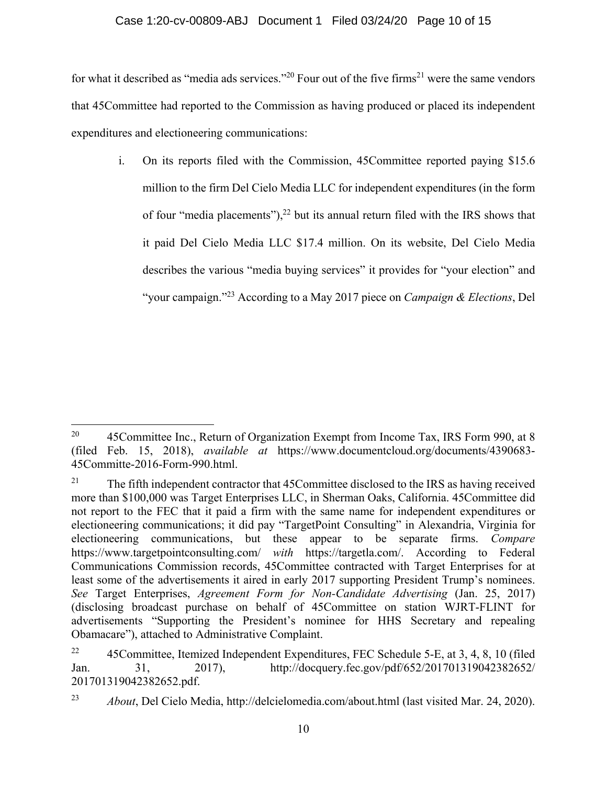# Case 1:20-cv-00809-ABJ Document 1 Filed 03/24/20 Page 10 of 15

for what it described as "media ads services."<sup>20</sup> Four out of the five firms<sup>21</sup> were the same vendors that 45Committee had reported to the Commission as having produced or placed its independent expenditures and electioneering communications:

i. On its reports filed with the Commission, 45Committee reported paying \$15.6 million to the firm Del Cielo Media LLC for independent expenditures (in the form of four "media placements"), $^{22}$  but its annual return filed with the IRS shows that it paid Del Cielo Media LLC \$17.4 million. On its website, Del Cielo Media describes the various "media buying services" it provides for "your election" and "your campaign."23 According to a May 2017 piece on *Campaign & Elections*, Del

<sup>1</sup> <sup>20</sup> 45 Committee Inc., Return of Organization Exempt from Income Tax, IRS Form 990, at 8 (filed Feb. 15, 2018), *available at* https://www.documentcloud.org/documents/4390683- 45Committe-2016-Form-990.html.

<sup>&</sup>lt;sup>21</sup> The fifth independent contractor that  $45$ Committee disclosed to the IRS as having received more than \$100,000 was Target Enterprises LLC, in Sherman Oaks, California. 45Committee did not report to the FEC that it paid a firm with the same name for independent expenditures or electioneering communications; it did pay "TargetPoint Consulting" in Alexandria, Virginia for electioneering communications, but these appear to be separate firms. *Compare*  https://www.targetpointconsulting.com/ *with* https://targetla.com/. According to Federal Communications Commission records, 45Committee contracted with Target Enterprises for at least some of the advertisements it aired in early 2017 supporting President Trump's nominees. *See* Target Enterprises, *Agreement Form for Non-Candidate Advertising* (Jan. 25, 2017) (disclosing broadcast purchase on behalf of 45Committee on station WJRT-FLINT for advertisements "Supporting the President's nominee for HHS Secretary and repealing Obamacare"), attached to Administrative Complaint.

<sup>&</sup>lt;sup>22</sup> 45Committee, Itemized Independent Expenditures, FEC Schedule 5-E, at 3, 4, 8, 10 (filed Jan. 31, 2017), http://docquery.fec.gov/pdf/652/201701319042382652/ 201701319042382652.pdf.

<sup>23</sup> *About*, Del Cielo Media, http://delcielomedia.com/about.html (last visited Mar. 24, 2020).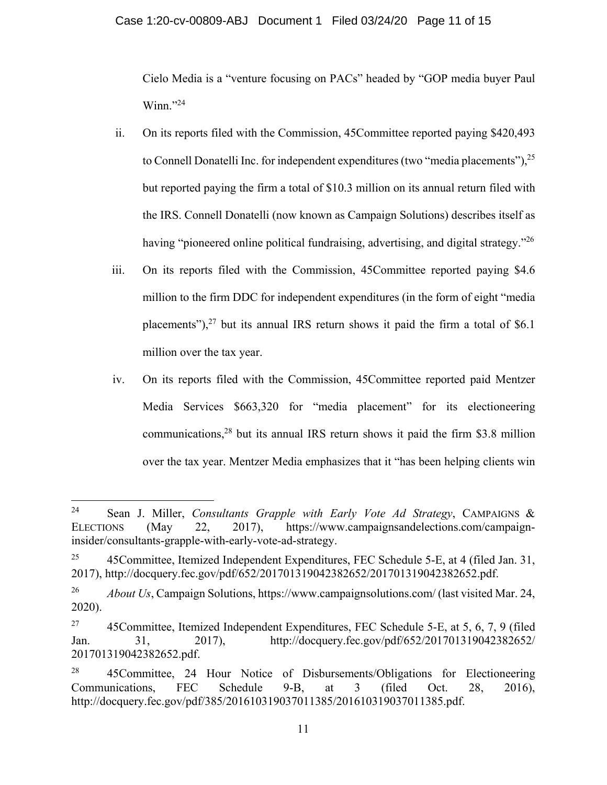Cielo Media is a "venture focusing on PACs" headed by "GOP media buyer Paul  $W$ inn."<sup>24</sup>

- ii. On its reports filed with the Commission, 45Committee reported paying \$420,493 to Connell Donatelli Inc. for independent expenditures (two "media placements"),  $2^5$ but reported paying the firm a total of \$10.3 million on its annual return filed with the IRS. Connell Donatelli (now known as Campaign Solutions) describes itself as having "pioneered online political fundraising, advertising, and digital strategy."<sup>26</sup>
- iii. On its reports filed with the Commission, 45Committee reported paying \$4.6 million to the firm DDC for independent expenditures (in the form of eight "media placements"), $27$  but its annual IRS return shows it paid the firm a total of \$6.1 million over the tax year.
- iv. On its reports filed with the Commission, 45Committee reported paid Mentzer Media Services \$663,320 for "media placement" for its electioneering communications, $28$  but its annual IRS return shows it paid the firm \$3.8 million over the tax year. Mentzer Media emphasizes that it "has been helping clients win

1

<sup>24</sup> Sean J. Miller, *Consultants Grapple with Early Vote Ad Strategy*, CAMPAIGNS & ELECTIONS (May 22, 2017), https://www.campaignsandelections.com/campaigninsider/consultants-grapple-with-early-vote-ad-strategy.

<sup>&</sup>lt;sup>25</sup> 45Committee, Itemized Independent Expenditures, FEC Schedule 5-E, at 4 (filed Jan. 31, 2017), http://docquery.fec.gov/pdf/652/201701319042382652/201701319042382652.pdf.

<sup>&</sup>lt;sup>26</sup> *About Us*, Campaign Solutions, https://www.campaignsolutions.com/ (last visited Mar. 24, 2020).

<sup>&</sup>lt;sup>27</sup> 45Committee, Itemized Independent Expenditures, FEC Schedule 5-E, at 5, 6, 7, 9 (filed Jan. 31, 2017), http://docquery.fec.gov/pdf/652/201701319042382652/ 201701319042382652.pdf.

<sup>&</sup>lt;sup>28</sup> 45Committee, 24 Hour Notice of Disbursements/Obligations for Electioneering Communications, FEC Schedule 9-B, at 3 (filed Oct. 28, 2016), http://docquery.fec.gov/pdf/385/201610319037011385/201610319037011385.pdf.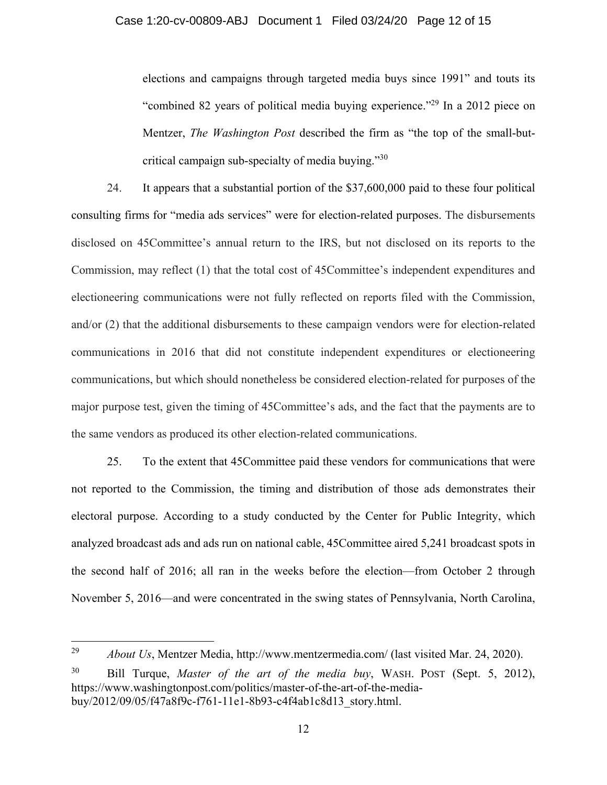elections and campaigns through targeted media buys since 1991" and touts its "combined 82 years of political media buying experience."29 In a 2012 piece on Mentzer, *The Washington Post* described the firm as "the top of the small-butcritical campaign sub-specialty of media buying."<sup>30</sup>

24. It appears that a substantial portion of the \$37,600,000 paid to these four political consulting firms for "media ads services" were for election-related purposes. The disbursements disclosed on 45Committee's annual return to the IRS, but not disclosed on its reports to the Commission, may reflect (1) that the total cost of 45Committee's independent expenditures and electioneering communications were not fully reflected on reports filed with the Commission, and/or (2) that the additional disbursements to these campaign vendors were for election-related communications in 2016 that did not constitute independent expenditures or electioneering communications, but which should nonetheless be considered election-related for purposes of the major purpose test, given the timing of 45Committee's ads, and the fact that the payments are to the same vendors as produced its other election-related communications.

25. To the extent that 45Committee paid these vendors for communications that were not reported to the Commission, the timing and distribution of those ads demonstrates their electoral purpose. According to a study conducted by the Center for Public Integrity, which analyzed broadcast ads and ads run on national cable, 45Committee aired 5,241 broadcast spots in the second half of 2016; all ran in the weeks before the election—from October 2 through November 5, 2016—and were concentrated in the swing states of Pennsylvania, North Carolina,

<sup>29</sup> *About Us*, Mentzer Media, http://www.mentzermedia.com/ (last visited Mar. 24, 2020).

<sup>30</sup> Bill Turque, *Master of the art of the media buy*, WASH. POST (Sept. 5, 2012), https://www.washingtonpost.com/politics/master-of-the-art-of-the-mediabuy/2012/09/05/f47a8f9c-f761-11e1-8b93-c4f4ab1c8d13\_story.html.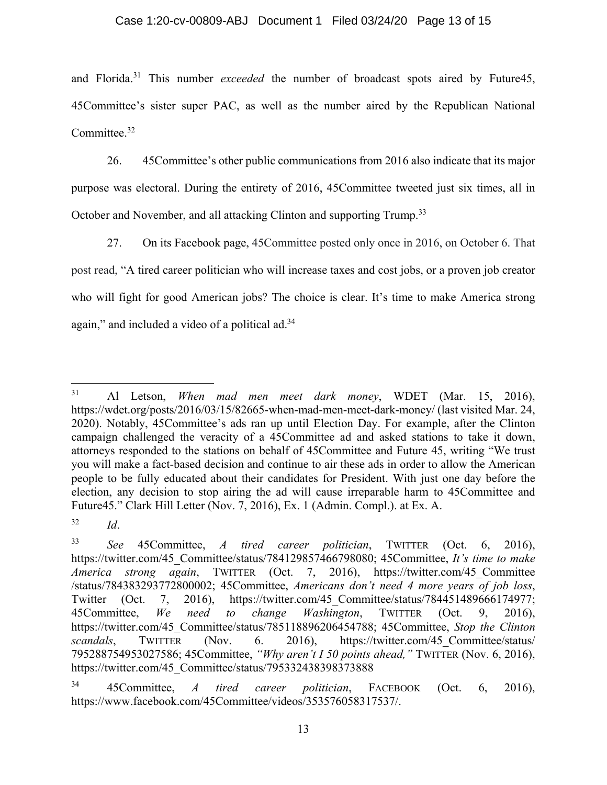# Case 1:20-cv-00809-ABJ Document 1 Filed 03/24/20 Page 13 of 15

and Florida.<sup>31</sup> This number *exceeded* the number of broadcast spots aired by Future45, 45Committee's sister super PAC, as well as the number aired by the Republican National Committee.<sup>32</sup>

26. 45Committee's other public communications from 2016 also indicate that its major purpose was electoral. During the entirety of 2016, 45Committee tweeted just six times, all in October and November, and all attacking Clinton and supporting Trump.<sup>33</sup>

27. On its Facebook page, 45Committee posted only once in 2016, on October 6. That post read, "A tired career politician who will increase taxes and cost jobs, or a proven job creator who will fight for good American jobs? The choice is clear. It's time to make America strong again," and included a video of a political ad.<sup>34</sup>

<sup>31</sup> Al Letson, *When mad men meet dark money*, WDET (Mar. 15, 2016), https://wdet.org/posts/2016/03/15/82665-when-mad-men-meet-dark-money/ (last visited Mar. 24, 2020). Notably, 45Committee's ads ran up until Election Day. For example, after the Clinton campaign challenged the veracity of a 45Committee ad and asked stations to take it down, attorneys responded to the stations on behalf of 45Committee and Future 45, writing "We trust you will make a fact-based decision and continue to air these ads in order to allow the American people to be fully educated about their candidates for President. With just one day before the election, any decision to stop airing the ad will cause irreparable harm to 45Committee and Future45." Clark Hill Letter (Nov. 7, 2016), Ex. 1 (Admin. Compl.). at Ex. A.

<sup>32</sup> *Id*.

<sup>33</sup> *See* 45Committee, *A tired career politician*, TWITTER (Oct. 6, 2016), https://twitter.com/45\_Committee/status/784129857466798080; 45Committee, *It's time to make America strong again*, TWITTER (Oct. 7, 2016), https://twitter.com/45\_Committee /status/784383293772800002; 45Committee, *Americans don't need 4 more years of job loss*, Twitter (Oct. 7, 2016), https://twitter.com/45\_Committee/status/784451489666174977; 45Committee, *We need to change Washington*, TWITTER (Oct. 9, 2016), https://twitter.com/45\_Committee/status/785118896206454788; 45Committee, *Stop the Clinton scandals*, TWITTER (Nov. 6. 2016), https://twitter.com/45\_Committee/status/ 795288754953027586; 45Committee, *"Why aren't I 50 points ahead,"* TWITTER (Nov. 6, 2016), https://twitter.com/45\_Committee/status/795332438398373888

<sup>34 45</sup>Committee, *A tired career politician*, FACEBOOK (Oct. 6, 2016), https://www.facebook.com/45Committee/videos/353576058317537/.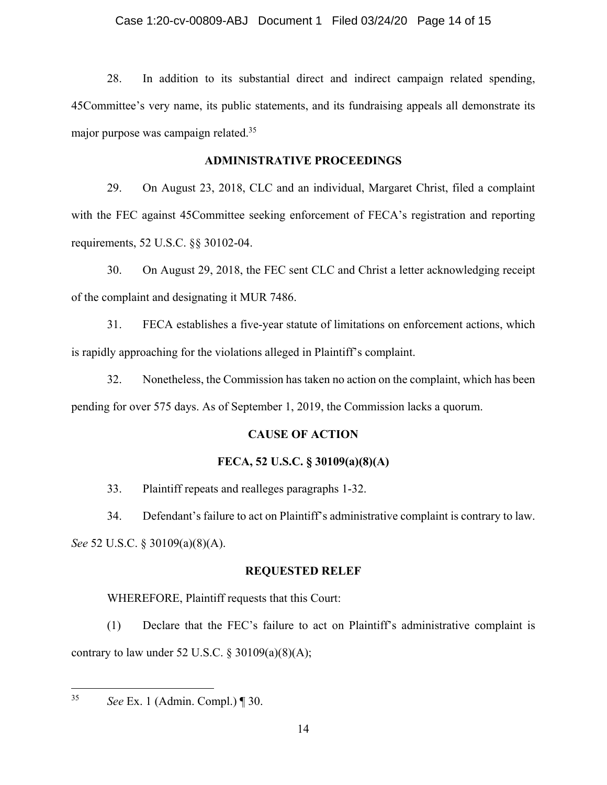## Case 1:20-cv-00809-ABJ Document 1 Filed 03/24/20 Page 14 of 15

28. In addition to its substantial direct and indirect campaign related spending, 45Committee's very name, its public statements, and its fundraising appeals all demonstrate its major purpose was campaign related.35

# **ADMINISTRATIVE PROCEEDINGS**

29. On August 23, 2018, CLC and an individual, Margaret Christ, filed a complaint with the FEC against 45Committee seeking enforcement of FECA's registration and reporting requirements, 52 U.S.C. §§ 30102-04.

30. On August 29, 2018, the FEC sent CLC and Christ a letter acknowledging receipt of the complaint and designating it MUR 7486.

31. FECA establishes a five-year statute of limitations on enforcement actions, which is rapidly approaching for the violations alleged in Plaintiff's complaint.

32. Nonetheless, the Commission has taken no action on the complaint, which has been pending for over 575 days. As of September 1, 2019, the Commission lacks a quorum.

# **CAUSE OF ACTION**

# **FECA, 52 U.S.C. § 30109(a)(8)(A)**

33. Plaintiff repeats and realleges paragraphs 1-32.

34. Defendant's failure to act on Plaintiff's administrative complaint is contrary to law. *See* 52 U.S.C. § 30109(a)(8)(A).

# **REQUESTED RELEF**

WHEREFORE, Plaintiff requests that this Court:

(1) Declare that the FEC's failure to act on Plaintiff's administrative complaint is contrary to law under 52 U.S.C.  $\S 30109(a)(8)(A);$ 

 $35<sup>°</sup>$ 

<sup>35</sup> *See* Ex. 1 (Admin. Compl.) ¶ 30.